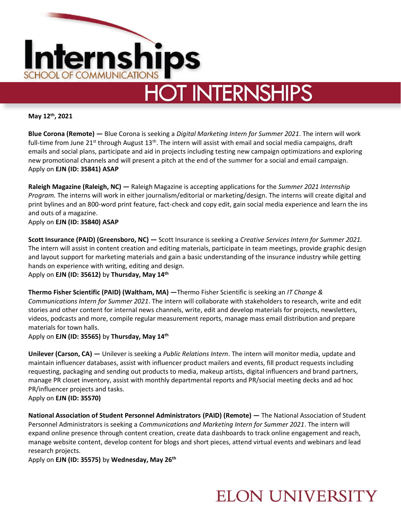

**May 12th, 2021**

**Blue Corona (Remote) —** Blue Corona is seeking a *Digital Marketing Intern for Summer 2021*. The intern will work full-time from June 21<sup>st</sup> through August 13<sup>th</sup>. The intern will assist with email and social media campaigns, draft emails and social plans, participate and aid in projects including testing new campaign optimizations and exploring new promotional channels and will present a pitch at the end of the summer for a social and email campaign. Apply on **EJN (ID: 35841) ASAP**

**Raleigh Magazine (Raleigh, NC) —** Raleigh Magazine is accepting applications for the *Summer 2021 Internship Program.* The interns will work in either journalism/editorial or marketing/design. The interns will create digital and print bylines and an 800-word print feature, fact-check and copy edit, gain social media experience and learn the ins and outs of a magazine.

Apply on **EJN (ID: 35840) ASAP**

**Scott Insurance (PAID) (Greensboro, NC) —** Scott Insurance is seeking a *Creative Services Intern for Summer 2021.* The intern will assist in content creation and editing materials, participate in team meetings, provide graphic design and layout support for marketing materials and gain a basic understanding of the insurance industry while getting hands on experience with writing, editing and design.

Apply on **EJN (ID: 35612)** by **Thursday, May 14th**

**Thermo Fisher Scientific (PAID) (Waltham, MA) —**Thermo Fisher Scientific is seeking an *IT Change & Communications Intern for Summer 2021*. The intern will collaborate with stakeholders to research, write and edit stories and other content for internal news channels, write, edit and develop materials for projects, newsletters, videos, podcasts and more, compile regular measurement reports, manage mass email distribution and prepare materials for town halls.

Apply on **EJN (ID: 35565)** by **Thursday, May 14th**

**Unilever (Carson, CA) —** Unilever is seeking a *Public Relations Intern*. The intern will monitor media, update and maintain influencer databases, assist with influencer product mailers and events, fill product requests including requesting, packaging and sending out products to media, makeup artists, digital influencers and brand partners, manage PR closet inventory, assist with monthly departmental reports and PR/social meeting decks and ad hoc PR/influencer projects and tasks.

Apply on **EJN (ID: 35570)** 

**National Association of Student Personnel Administrators (PAID) (Remote) —** The National Association of Student Personnel Administrators is seeking a *Communications and Marketing Intern for Summer 2021*. The intern will expand online presence through content creation, create data dashboards to track online engagement and reach, manage website content, develop content for blogs and short pieces, attend virtual events and webinars and lead research projects.

Apply on **EJN (ID: 35575)** by **Wednesday, May 26th**

## **ELON UNIVERSITY**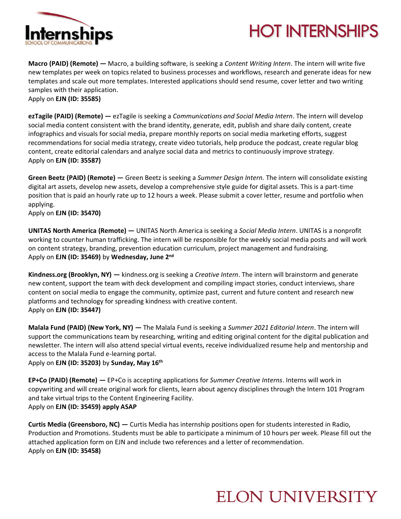

## **HOT INTERNSHIPS**

**Macro (PAID) (Remote) —** Macro, a building software, is seeking a *Content Writing Intern*. The intern will write five new templates per week on topics related to business processes and workflows, research and generate ideas for new templates and scale out more templates. Interested applications should send resume, cover letter and two writing samples with their application.

Apply on **EJN (ID: 35585)** 

**ezTagile (PAID) (Remote) —** ezTagile is seeking a *Communications and Social Media Intern*. The intern will develop social media content consistent with the brand identity, generate, edit, publish and share daily content, create infographics and visuals for social media, prepare monthly reports on social media marketing efforts, suggest recommendations for social media strategy, create video tutorials, help produce the podcast, create regular blog content, create editorial calendars and analyze social data and metrics to continuously improve strategy. Apply on **EJN (ID: 35587)** 

**Green Beetz (PAID) (Remote) —** Green Beetz is seeking a *Summer Design Intern.* The intern will consolidate existing digital art assets, develop new assets, develop a comprehensive style guide for digital assets. This is a part-time position that is paid an hourly rate up to 12 hours a week. Please submit a cover letter, resume and portfolio when applying.

Apply on **EJN (ID: 35470)** 

**UNITAS North America (Remote) —** UNITAS North America is seeking a *Social Media Intern*. UNITAS is a nonprofit working to counter human trafficking. The intern will be responsible for the weekly social media posts and will work on content strategy, branding, prevention education curriculum, project management and fundraising. Apply on **EJN (ID: 35469)** by **Wednesday, June 2nd**

**Kindness.org (Brooklyn, NY) —** kindness.org is seeking a *Creative Intern*. The intern will brainstorm and generate new content, support the team with deck development and compiling impact stories, conduct interviews, share content on social media to engage the community, optimize past, current and future content and research new platforms and technology for spreading kindness with creative content. Apply on **EJN (ID: 35447)** 

**Malala Fund (PAID) (New York, NY) —** The Malala Fund is seeking a *Summer 2021 Editorial Intern*. The intern will support the communications team by researching, writing and editing original content for the digital publication and newsletter. The intern will also attend special virtual events, receive individualized resume help and mentorship and access to the Malala Fund e-learning portal.

Apply on **EJN (ID: 35203)** by **Sunday, May 16th** 

**EP+Co (PAID) (Remote) —** EP+Co is accepting applications for *Summer Creative Interns*. Interns will work in copywriting and will create original work for clients, learn about agency disciplines through the Intern 101 Program and take virtual trips to the Content Engineering Facility. Apply on **EJN (ID: 35459) apply ASAP**

**Curtis Media (Greensboro, NC) —** Curtis Media has internship positions open for students interested in Radio, Production and Promotions. Students must be able to participate a minimum of 10 hours per week. Please fill out the attached application form on EJN and include two references and a letter of recommendation. Apply on **EJN (ID: 35458)** 

## **ELON UNIVERSITY**